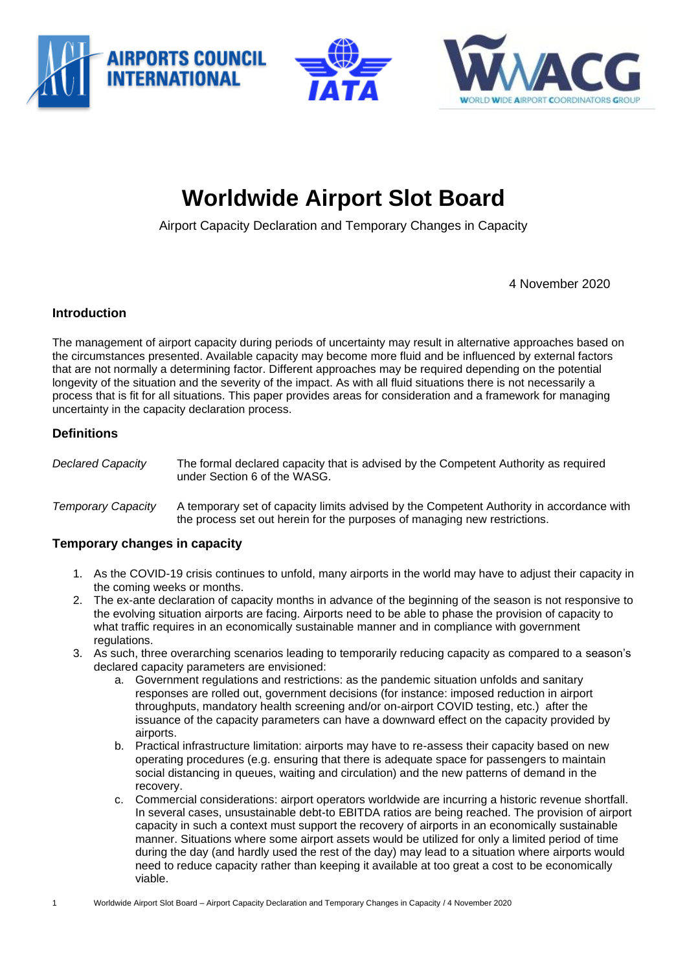





# **Worldwide Airport Slot Board**

Airport Capacity Declaration and Temporary Changes in Capacity

4 November 2020

#### **Introduction**

The management of airport capacity during periods of uncertainty may result in alternative approaches based on the circumstances presented. Available capacity may become more fluid and be influenced by external factors that are not normally a determining factor. Different approaches may be required depending on the potential longevity of the situation and the severity of the impact. As with all fluid situations there is not necessarily a process that is fit for all situations. This paper provides areas for consideration and a framework for managing uncertainty in the capacity declaration process.

#### **Definitions**

*Declared Capacity* The formal declared capacity that is advised by the Competent Authority as required under Section 6 of the WASG.

#### *Temporary Capacity* A temporary set of capacity limits advised by the Competent Authority in accordance with the process set out herein for the purposes of managing new restrictions.

#### **Temporary changes in capacity**

- 1. As the COVID-19 crisis continues to unfold, many airports in the world may have to adjust their capacity in the coming weeks or months.
- 2. The ex-ante declaration of capacity months in advance of the beginning of the season is not responsive to the evolving situation airports are facing. Airports need to be able to phase the provision of capacity to what traffic requires in an economically sustainable manner and in compliance with government regulations.
- 3. As such, three overarching scenarios leading to temporarily reducing capacity as compared to a season's declared capacity parameters are envisioned:
	- a. Government regulations and restrictions: as the pandemic situation unfolds and sanitary responses are rolled out, government decisions (for instance: imposed reduction in airport throughputs, mandatory health screening and/or on-airport COVID testing, etc.) after the issuance of the capacity parameters can have a downward effect on the capacity provided by airports.
	- b. Practical infrastructure limitation: airports may have to re-assess their capacity based on new operating procedures (e.g. ensuring that there is adequate space for passengers to maintain social distancing in queues, waiting and circulation) and the new patterns of demand in the recovery.
	- c. Commercial considerations: airport operators worldwide are incurring a historic revenue shortfall. In several cases, unsustainable debt-to EBITDA ratios are being reached. The provision of airport capacity in such a context must support the recovery of airports in an economically sustainable manner. Situations where some airport assets would be utilized for only a limited period of time during the day (and hardly used the rest of the day) may lead to a situation where airports would need to reduce capacity rather than keeping it available at too great a cost to be economically viable.
- 1 Worldwide Airport Slot Board Airport Capacity Declaration and Temporary Changes in Capacity / 4 November 2020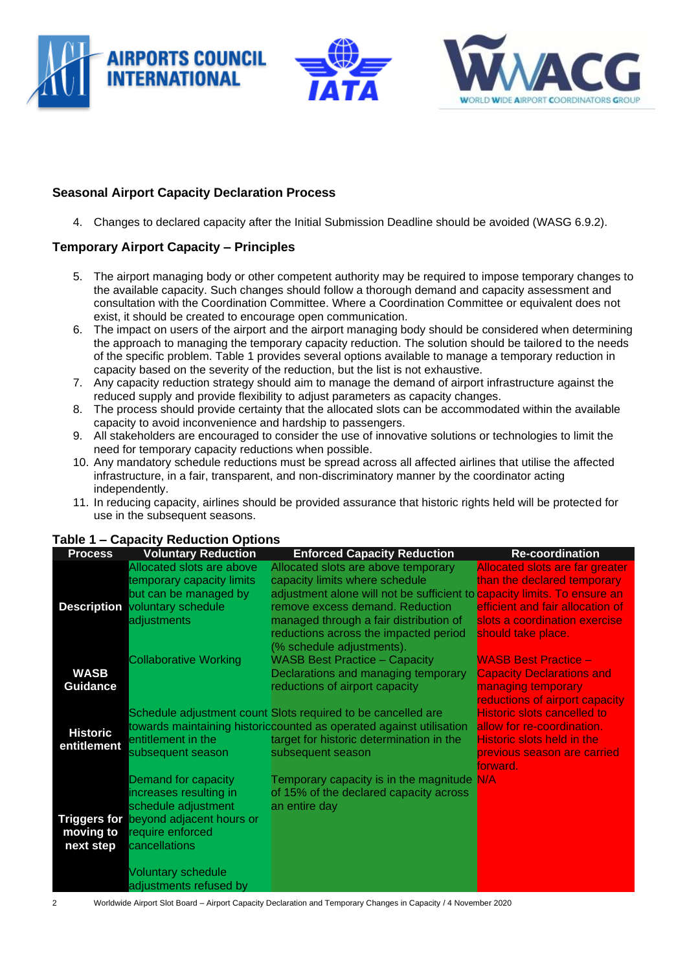





# **Seasonal Airport Capacity Declaration Process**

4. Changes to declared capacity after the Initial Submission Deadline should be avoided (WASG 6.9.2).

# **Temporary Airport Capacity – Principles**

- 5. The airport managing body or other competent authority may be required to impose temporary changes to the available capacity. Such changes should follow a thorough demand and capacity assessment and consultation with the Coordination Committee. Where a Coordination Committee or equivalent does not exist, it should be created to encourage open communication.
- 6. The impact on users of the airport and the airport managing body should be considered when determining the approach to managing the temporary capacity reduction. The solution should be tailored to the needs of the specific problem. Table 1 provides several options available to manage a temporary reduction in capacity based on the severity of the reduction, but the list is not exhaustive.
- 7. Any capacity reduction strategy should aim to manage the demand of airport infrastructure against the reduced supply and provide flexibility to adjust parameters as capacity changes.
- 8. The process should provide certainty that the allocated slots can be accommodated within the available capacity to avoid inconvenience and hardship to passengers.
- 9. All stakeholders are encouraged to consider the use of innovative solutions or technologies to limit the need for temporary capacity reductions when possible.
- 10. Any mandatory schedule reductions must be spread across all affected airlines that utilise the affected infrastructure, in a fair, transparent, and non-discriminatory manner by the coordinator acting independently.
- 11. In reducing capacity, airlines should be provided assurance that historic rights held will be protected for use in the subsequent seasons.

| <b>Process</b>  | <b>Voluntary Reduction</b>                   | <b>Enforced Capacity Reduction</b>                                              | <b>Re-coordination</b>                 |
|-----------------|----------------------------------------------|---------------------------------------------------------------------------------|----------------------------------------|
|                 | Allocated slots are above                    | Allocated slots are above temporary                                             | <b>Allocated slots are far greater</b> |
|                 | temporary capacity limits                    | capacity limits where schedule                                                  | than the declared temporary            |
|                 | but can be managed by                        | adjustment alone will not be sufficient to <b>capacity limits. To ensure an</b> |                                        |
|                 | <b>Description voluntary schedule</b>        | remove excess demand. Reduction                                                 | efficient and fair allocation of       |
|                 | adjustments                                  | managed through a fair distribution of                                          | slots a coordination exercise          |
|                 |                                              | reductions across the impacted period                                           | should take place.                     |
|                 |                                              | (% schedule adjustments).                                                       |                                        |
|                 | <b>Collaborative Working</b>                 | <b>WASB Best Practice - Capacity</b>                                            | <b>WASB Best Practice -</b>            |
| <b>WASB</b>     |                                              | Declarations and managing temporary                                             | <b>Capacity Declarations and</b>       |
| <b>Guidance</b> |                                              | reductions of airport capacity                                                  | managing temporary                     |
|                 |                                              |                                                                                 | reductions of airport capacity         |
|                 |                                              | Schedule adjustment count Slots required to be cancelled are                    | <b>Historic slots cancelled to</b>     |
| <b>Historic</b> |                                              | towards maintaining historiccounted as operated against utilisation             | allow for re-coordination.             |
| entitlement     | entitlement in the                           | target for historic determination in the                                        | <b>Historic slots held in the</b>      |
|                 | subsequent season                            | subsequent season                                                               | previous season are carried            |
|                 |                                              |                                                                                 | forward.                               |
|                 | Demand for capacity                          | Temporary capacity is in the magnitude N/A                                      |                                        |
|                 | increases resulting in                       | of 15% of the declared capacity across                                          |                                        |
|                 | schedule adjustment                          | an entire day                                                                   |                                        |
|                 | <b>Triggers for beyond adjacent hours or</b> |                                                                                 |                                        |
| moving to       | require enforced                             |                                                                                 |                                        |
| next step       | cancellations                                |                                                                                 |                                        |
|                 |                                              |                                                                                 |                                        |
|                 | <b>Voluntary schedule</b>                    |                                                                                 |                                        |
|                 | adjustments refused by                       |                                                                                 |                                        |

#### **Table 1 – Capacity Reduction Options**

2 Worldwide Airport Slot Board – Airport Capacity Declaration and Temporary Changes in Capacity / 4 November 2020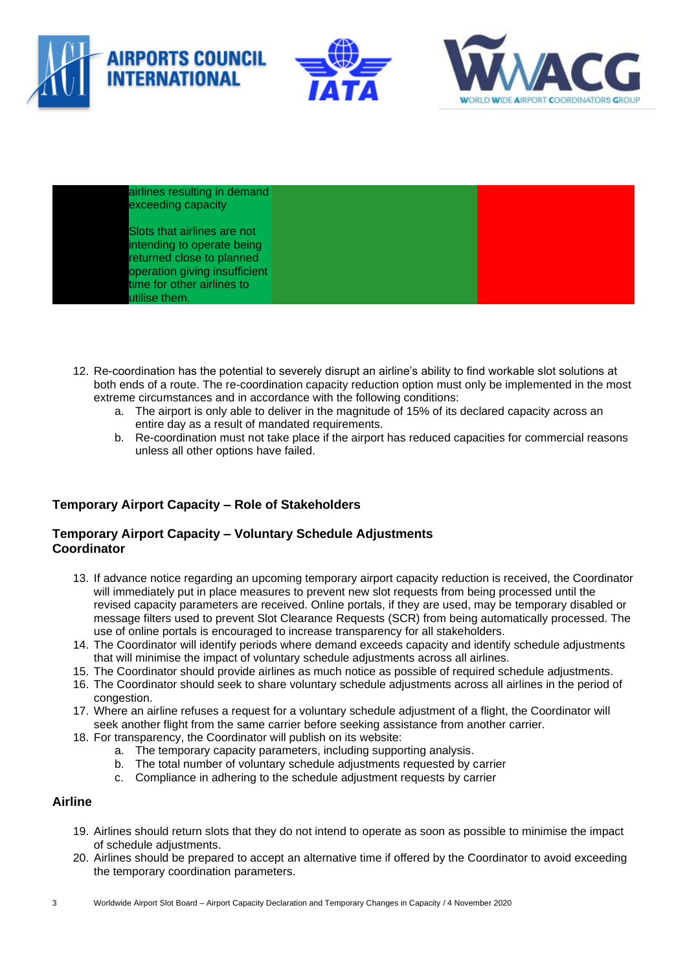



airlines resulting in demand exceeding capacity

Slots that airlines are not intending to operate being returned close to planned operation giving insufficient time for other airlines to utilise them.

- 12. Re-coordination has the potential to severely disrupt an airline's ability to find workable slot solutions at both ends of a route. The re-coordination capacity reduction option must only be implemented in the most extreme circumstances and in accordance with the following conditions:
	- a. The airport is only able to deliver in the magnitude of 15% of its declared capacity across an entire day as a result of mandated requirements.
	- b. Re-coordination must not take place if the airport has reduced capacities for commercial reasons unless all other options have failed.

# **Temporary Airport Capacity – Role of Stakeholders**

#### **Temporary Airport Capacity – Voluntary Schedule Adjustments Coordinator**

- 13. If advance notice regarding an upcoming temporary airport capacity reduction is received, the Coordinator will immediately put in place measures to prevent new slot requests from being processed until the revised capacity parameters are received. Online portals, if they are used, may be temporary disabled or message filters used to prevent Slot Clearance Requests (SCR) from being automatically processed. The use of online portals is encouraged to increase transparency for all stakeholders.
- 14. The Coordinator will identify periods where demand exceeds capacity and identify schedule adjustments that will minimise the impact of voluntary schedule adjustments across all airlines.
- 15. The Coordinator should provide airlines as much notice as possible of required schedule adjustments.
- 16. The Coordinator should seek to share voluntary schedule adjustments across all airlines in the period of congestion.
- 17. Where an airline refuses a request for a voluntary schedule adjustment of a flight, the Coordinator will seek another flight from the same carrier before seeking assistance from another carrier.
- 18. For transparency, the Coordinator will publish on its website:
	- a. The temporary capacity parameters, including supporting analysis.
	- b. The total number of voluntary schedule adjustments requested by carrier
	- c. Compliance in adhering to the schedule adjustment requests by carrier

#### **Airline**

- 19. Airlines should return slots that they do not intend to operate as soon as possible to minimise the impact of schedule adjustments.
- 20. Airlines should be prepared to accept an alternative time if offered by the Coordinator to avoid exceeding the temporary coordination parameters.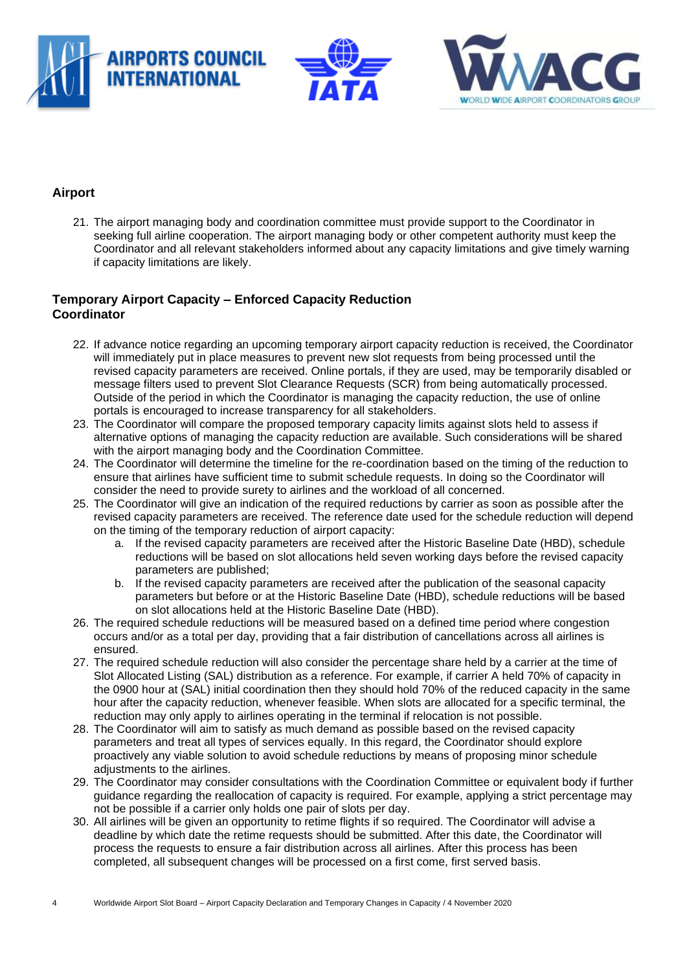





# **Airport**

21. The airport managing body and coordination committee must provide support to the Coordinator in seeking full airline cooperation. The airport managing body or other competent authority must keep the Coordinator and all relevant stakeholders informed about any capacity limitations and give timely warning if capacity limitations are likely.

# **Temporary Airport Capacity – Enforced Capacity Reduction Coordinator**

- 22. If advance notice regarding an upcoming temporary airport capacity reduction is received, the Coordinator will immediately put in place measures to prevent new slot requests from being processed until the revised capacity parameters are received. Online portals, if they are used, may be temporarily disabled or message filters used to prevent Slot Clearance Requests (SCR) from being automatically processed. Outside of the period in which the Coordinator is managing the capacity reduction, the use of online portals is encouraged to increase transparency for all stakeholders.
- 23. The Coordinator will compare the proposed temporary capacity limits against slots held to assess if alternative options of managing the capacity reduction are available. Such considerations will be shared with the airport managing body and the Coordination Committee.
- 24. The Coordinator will determine the timeline for the re-coordination based on the timing of the reduction to ensure that airlines have sufficient time to submit schedule requests. In doing so the Coordinator will consider the need to provide surety to airlines and the workload of all concerned.
- 25. The Coordinator will give an indication of the required reductions by carrier as soon as possible after the revised capacity parameters are received. The reference date used for the schedule reduction will depend on the timing of the temporary reduction of airport capacity:
	- a. If the revised capacity parameters are received after the Historic Baseline Date (HBD), schedule reductions will be based on slot allocations held seven working days before the revised capacity parameters are published;
	- b. If the revised capacity parameters are received after the publication of the seasonal capacity parameters but before or at the Historic Baseline Date (HBD), schedule reductions will be based on slot allocations held at the Historic Baseline Date (HBD).
- 26. The required schedule reductions will be measured based on a defined time period where congestion occurs and/or as a total per day, providing that a fair distribution of cancellations across all airlines is ensured.
- 27. The required schedule reduction will also consider the percentage share held by a carrier at the time of Slot Allocated Listing (SAL) distribution as a reference. For example, if carrier A held 70% of capacity in the 0900 hour at (SAL) initial coordination then they should hold 70% of the reduced capacity in the same hour after the capacity reduction, whenever feasible. When slots are allocated for a specific terminal, the reduction may only apply to airlines operating in the terminal if relocation is not possible.
- 28. The Coordinator will aim to satisfy as much demand as possible based on the revised capacity parameters and treat all types of services equally. In this regard, the Coordinator should explore proactively any viable solution to avoid schedule reductions by means of proposing minor schedule adjustments to the airlines.
- 29. The Coordinator may consider consultations with the Coordination Committee or equivalent body if further guidance regarding the reallocation of capacity is required. For example, applying a strict percentage may not be possible if a carrier only holds one pair of slots per day.
- 30. All airlines will be given an opportunity to retime flights if so required. The Coordinator will advise a deadline by which date the retime requests should be submitted. After this date, the Coordinator will process the requests to ensure a fair distribution across all airlines. After this process has been completed, all subsequent changes will be processed on a first come, first served basis.
- 4 Worldwide Airport Slot Board Airport Capacity Declaration and Temporary Changes in Capacity / 4 November 2020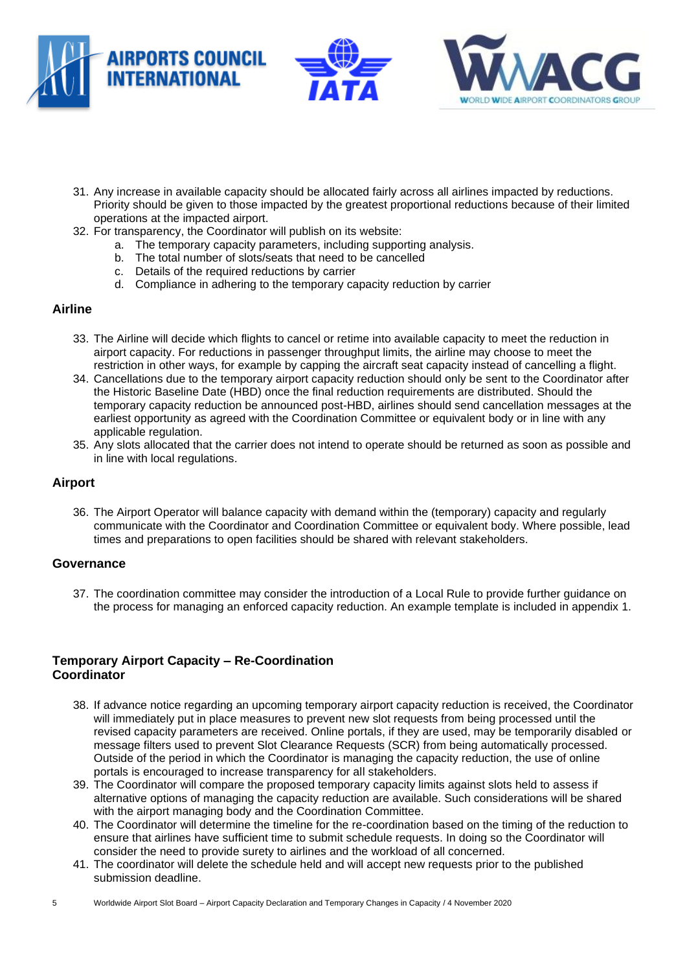





- 31. Any increase in available capacity should be allocated fairly across all airlines impacted by reductions. Priority should be given to those impacted by the greatest proportional reductions because of their limited operations at the impacted airport.
- 32. For transparency, the Coordinator will publish on its website:
	- a. The temporary capacity parameters, including supporting analysis.
	- b. The total number of slots/seats that need to be cancelled
	- c. Details of the required reductions by carrier
	- d. Compliance in adhering to the temporary capacity reduction by carrier

#### **Airline**

- 33. The Airline will decide which flights to cancel or retime into available capacity to meet the reduction in airport capacity. For reductions in passenger throughput limits, the airline may choose to meet the restriction in other ways, for example by capping the aircraft seat capacity instead of cancelling a flight.
- 34. Cancellations due to the temporary airport capacity reduction should only be sent to the Coordinator after the Historic Baseline Date (HBD) once the final reduction requirements are distributed. Should the temporary capacity reduction be announced post-HBD, airlines should send cancellation messages at the earliest opportunity as agreed with the Coordination Committee or equivalent body or in line with any applicable regulation.
- 35. Any slots allocated that the carrier does not intend to operate should be returned as soon as possible and in line with local regulations.

#### **Airport**

36. The Airport Operator will balance capacity with demand within the (temporary) capacity and regularly communicate with the Coordinator and Coordination Committee or equivalent body. Where possible, lead times and preparations to open facilities should be shared with relevant stakeholders.

#### **Governance**

37. The coordination committee may consider the introduction of a Local Rule to provide further guidance on the process for managing an enforced capacity reduction. An example template is included in appendix 1.

#### **Temporary Airport Capacity – Re-Coordination Coordinator**

- 38. If advance notice regarding an upcoming temporary airport capacity reduction is received, the Coordinator will immediately put in place measures to prevent new slot requests from being processed until the revised capacity parameters are received. Online portals, if they are used, may be temporarily disabled or message filters used to prevent Slot Clearance Requests (SCR) from being automatically processed. Outside of the period in which the Coordinator is managing the capacity reduction, the use of online portals is encouraged to increase transparency for all stakeholders.
- 39. The Coordinator will compare the proposed temporary capacity limits against slots held to assess if alternative options of managing the capacity reduction are available. Such considerations will be shared with the airport managing body and the Coordination Committee.
- 40. The Coordinator will determine the timeline for the re-coordination based on the timing of the reduction to ensure that airlines have sufficient time to submit schedule requests. In doing so the Coordinator will consider the need to provide surety to airlines and the workload of all concerned.
- 41. The coordinator will delete the schedule held and will accept new requests prior to the published submission deadline.
- 5 Worldwide Airport Slot Board Airport Capacity Declaration and Temporary Changes in Capacity / 4 November 2020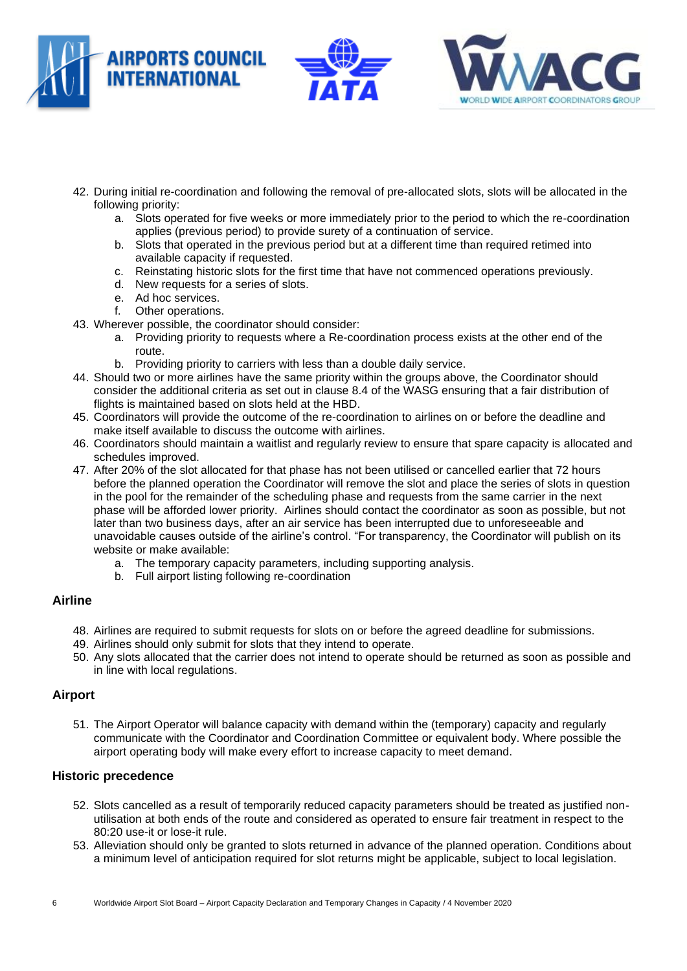





- 42. During initial re-coordination and following the removal of pre-allocated slots, slots will be allocated in the following priority:
	- a. Slots operated for five weeks or more immediately prior to the period to which the re-coordination applies (previous period) to provide surety of a continuation of service.
	- b. Slots that operated in the previous period but at a different time than required retimed into available capacity if requested.
	- c. Reinstating historic slots for the first time that have not commenced operations previously.
	- d. New requests for a series of slots.
	- e. Ad hoc services.
	- f. Other operations.
- 43. Wherever possible, the coordinator should consider:
	- a. Providing priority to requests where a Re-coordination process exists at the other end of the route.
	- b. Providing priority to carriers with less than a double daily service.
- 44. Should two or more airlines have the same priority within the groups above, the Coordinator should consider the additional criteria as set out in clause 8.4 of the WASG ensuring that a fair distribution of flights is maintained based on slots held at the HBD.
- 45. Coordinators will provide the outcome of the re-coordination to airlines on or before the deadline and make itself available to discuss the outcome with airlines.
- 46. Coordinators should maintain a waitlist and regularly review to ensure that spare capacity is allocated and schedules improved.
- 47. After 20% of the slot allocated for that phase has not been utilised or cancelled earlier that 72 hours before the planned operation the Coordinator will remove the slot and place the series of slots in question in the pool for the remainder of the scheduling phase and requests from the same carrier in the next phase will be afforded lower priority. Airlines should contact the coordinator as soon as possible, but not later than two business days, after an air service has been interrupted due to unforeseeable and unavoidable causes outside of the airline's control. "For transparency, the Coordinator will publish on its website or make available:
	- a. The temporary capacity parameters, including supporting analysis.
	- b. Full airport listing following re-coordination

#### **Airline**

- 48. Airlines are required to submit requests for slots on or before the agreed deadline for submissions.
- 49. Airlines should only submit for slots that they intend to operate.
- 50. Any slots allocated that the carrier does not intend to operate should be returned as soon as possible and in line with local regulations.

#### **Airport**

51. The Airport Operator will balance capacity with demand within the (temporary) capacity and regularly communicate with the Coordinator and Coordination Committee or equivalent body. Where possible the airport operating body will make every effort to increase capacity to meet demand.

#### **Historic precedence**

- 52. Slots cancelled as a result of temporarily reduced capacity parameters should be treated as justified nonutilisation at both ends of the route and considered as operated to ensure fair treatment in respect to the 80:20 use-it or lose-it rule.
- 53. Alleviation should only be granted to slots returned in advance of the planned operation. Conditions about a minimum level of anticipation required for slot returns might be applicable, subject to local legislation.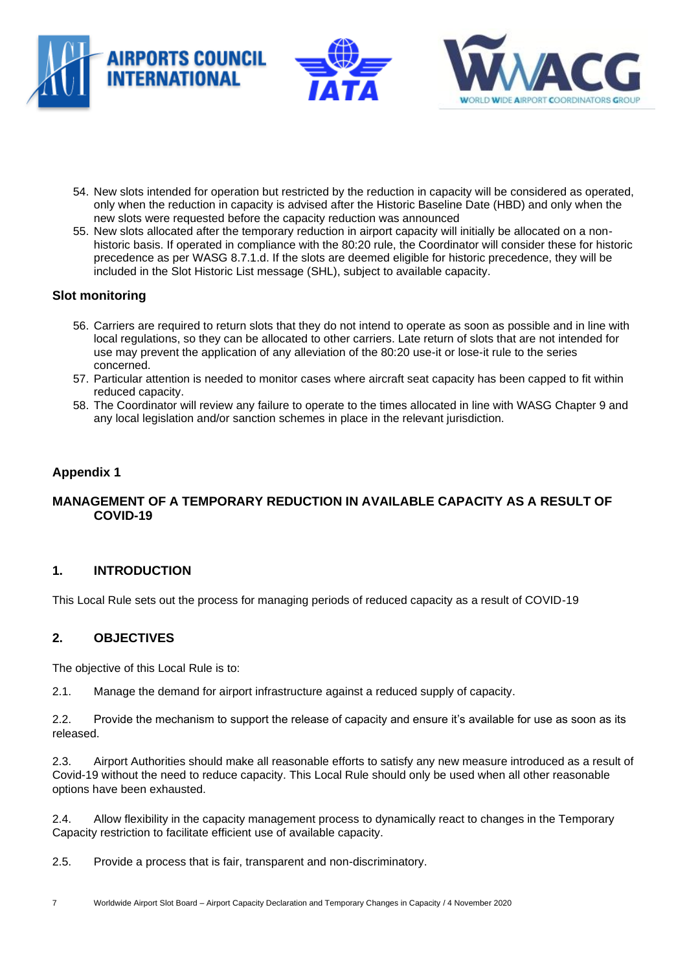



- 54. New slots intended for operation but restricted by the reduction in capacity will be considered as operated, only when the reduction in capacity is advised after the Historic Baseline Date (HBD) and only when the new slots were requested before the capacity reduction was announced
- 55. New slots allocated after the temporary reduction in airport capacity will initially be allocated on a nonhistoric basis. If operated in compliance with the 80:20 rule, the Coordinator will consider these for historic precedence as per WASG 8.7.1.d. If the slots are deemed eligible for historic precedence, they will be included in the Slot Historic List message (SHL), subject to available capacity.

# **Slot monitoring**

- 56. Carriers are required to return slots that they do not intend to operate as soon as possible and in line with local regulations, so they can be allocated to other carriers. Late return of slots that are not intended for use may prevent the application of any alleviation of the 80:20 use-it or lose-it rule to the series concerned.
- 57. Particular attention is needed to monitor cases where aircraft seat capacity has been capped to fit within reduced capacity.
- 58. The Coordinator will review any failure to operate to the times allocated in line with WASG Chapter 9 and any local legislation and/or sanction schemes in place in the relevant jurisdiction.

# **Appendix 1**

#### **MANAGEMENT OF A TEMPORARY REDUCTION IN AVAILABLE CAPACITY AS A RESULT OF COVID-19**

#### **1. INTRODUCTION**

This Local Rule sets out the process for managing periods of reduced capacity as a result of COVID-19

#### **2. OBJECTIVES**

The objective of this Local Rule is to:

2.1. Manage the demand for airport infrastructure against a reduced supply of capacity.

2.2. Provide the mechanism to support the release of capacity and ensure it's available for use as soon as its released.

2.3. Airport Authorities should make all reasonable efforts to satisfy any new measure introduced as a result of Covid-19 without the need to reduce capacity. This Local Rule should only be used when all other reasonable options have been exhausted.

2.4. Allow flexibility in the capacity management process to dynamically react to changes in the Temporary Capacity restriction to facilitate efficient use of available capacity.

2.5. Provide a process that is fair, transparent and non-discriminatory.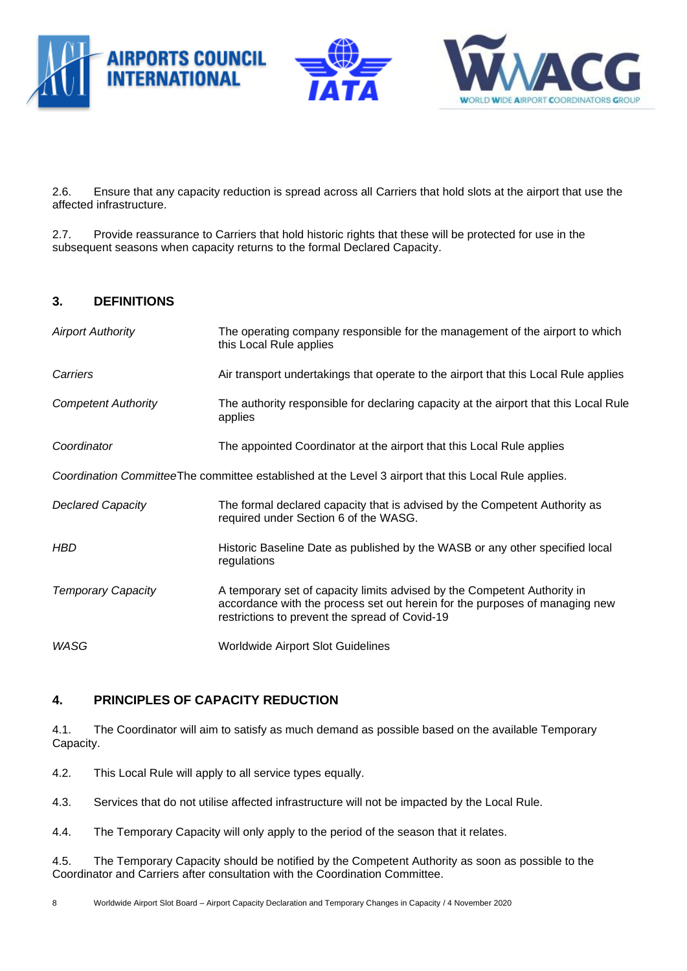



2.6. Ensure that any capacity reduction is spread across all Carriers that hold slots at the airport that use the affected infrastructure.

2.7. Provide reassurance to Carriers that hold historic rights that these will be protected for use in the subsequent seasons when capacity returns to the formal Declared Capacity.

#### **3. DEFINITIONS**

| <b>Airport Authority</b>   | The operating company responsible for the management of the airport to which<br>this Local Rule applies                                                                                                   |
|----------------------------|-----------------------------------------------------------------------------------------------------------------------------------------------------------------------------------------------------------|
| Carriers                   | Air transport undertakings that operate to the airport that this Local Rule applies                                                                                                                       |
| <b>Competent Authority</b> | The authority responsible for declaring capacity at the airport that this Local Rule<br>applies                                                                                                           |
| Coordinator                | The appointed Coordinator at the airport that this Local Rule applies                                                                                                                                     |
|                            | Coordination CommitteeThe committee established at the Level 3 airport that this Local Rule applies.                                                                                                      |
| <b>Declared Capacity</b>   | The formal declared capacity that is advised by the Competent Authority as<br>required under Section 6 of the WASG.                                                                                       |
| HBD                        | Historic Baseline Date as published by the WASB or any other specified local<br>regulations                                                                                                               |
| <b>Temporary Capacity</b>  | A temporary set of capacity limits advised by the Competent Authority in<br>accordance with the process set out herein for the purposes of managing new<br>restrictions to prevent the spread of Covid-19 |
| WASG                       | <b>Worldwide Airport Slot Guidelines</b>                                                                                                                                                                  |

# **4. PRINCIPLES OF CAPACITY REDUCTION**

4.1. The Coordinator will aim to satisfy as much demand as possible based on the available Temporary Capacity.

- 4.2. This Local Rule will apply to all service types equally.
- 4.3. Services that do not utilise affected infrastructure will not be impacted by the Local Rule.
- 4.4. The Temporary Capacity will only apply to the period of the season that it relates.

4.5. The Temporary Capacity should be notified by the Competent Authority as soon as possible to the Coordinator and Carriers after consultation with the Coordination Committee.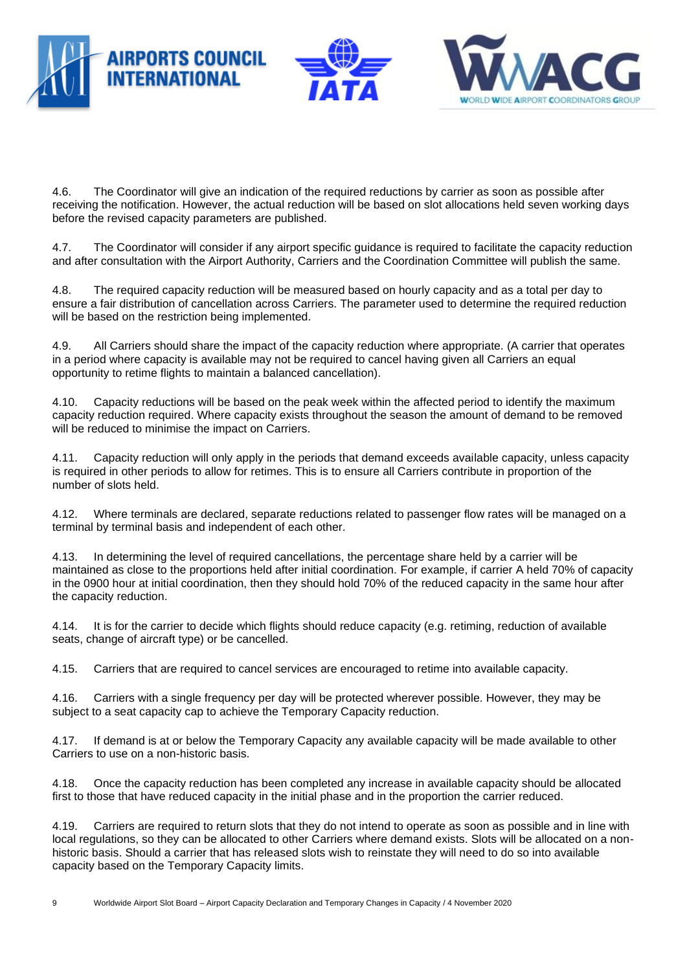





4.6. The Coordinator will give an indication of the required reductions by carrier as soon as possible after receiving the notification. However, the actual reduction will be based on slot allocations held seven working days before the revised capacity parameters are published.

4.7. The Coordinator will consider if any airport specific guidance is required to facilitate the capacity reduction and after consultation with the Airport Authority, Carriers and the Coordination Committee will publish the same.

4.8. The required capacity reduction will be measured based on hourly capacity and as a total per day to ensure a fair distribution of cancellation across Carriers. The parameter used to determine the required reduction will be based on the restriction being implemented.

4.9. All Carriers should share the impact of the capacity reduction where appropriate. (A carrier that operates in a period where capacity is available may not be required to cancel having given all Carriers an equal opportunity to retime flights to maintain a balanced cancellation).

4.10. Capacity reductions will be based on the peak week within the affected period to identify the maximum capacity reduction required. Where capacity exists throughout the season the amount of demand to be removed will be reduced to minimise the impact on Carriers.

4.11. Capacity reduction will only apply in the periods that demand exceeds available capacity, unless capacity is required in other periods to allow for retimes. This is to ensure all Carriers contribute in proportion of the number of slots held.

4.12. Where terminals are declared, separate reductions related to passenger flow rates will be managed on a terminal by terminal basis and independent of each other.

4.13. In determining the level of required cancellations, the percentage share held by a carrier will be maintained as close to the proportions held after initial coordination. For example, if carrier A held 70% of capacity in the 0900 hour at initial coordination, then they should hold 70% of the reduced capacity in the same hour after the capacity reduction.

4.14. It is for the carrier to decide which flights should reduce capacity (e.g. retiming, reduction of available seats, change of aircraft type) or be cancelled.

4.15. Carriers that are required to cancel services are encouraged to retime into available capacity.

4.16. Carriers with a single frequency per day will be protected wherever possible. However, they may be subject to a seat capacity cap to achieve the Temporary Capacity reduction.

4.17. If demand is at or below the Temporary Capacity any available capacity will be made available to other Carriers to use on a non-historic basis.

4.18. Once the capacity reduction has been completed any increase in available capacity should be allocated first to those that have reduced capacity in the initial phase and in the proportion the carrier reduced.

4.19. Carriers are required to return slots that they do not intend to operate as soon as possible and in line with local regulations, so they can be allocated to other Carriers where demand exists. Slots will be allocated on a nonhistoric basis. Should a carrier that has released slots wish to reinstate they will need to do so into available capacity based on the Temporary Capacity limits.

9 Worldwide Airport Slot Board – Airport Capacity Declaration and Temporary Changes in Capacity / 4 November 2020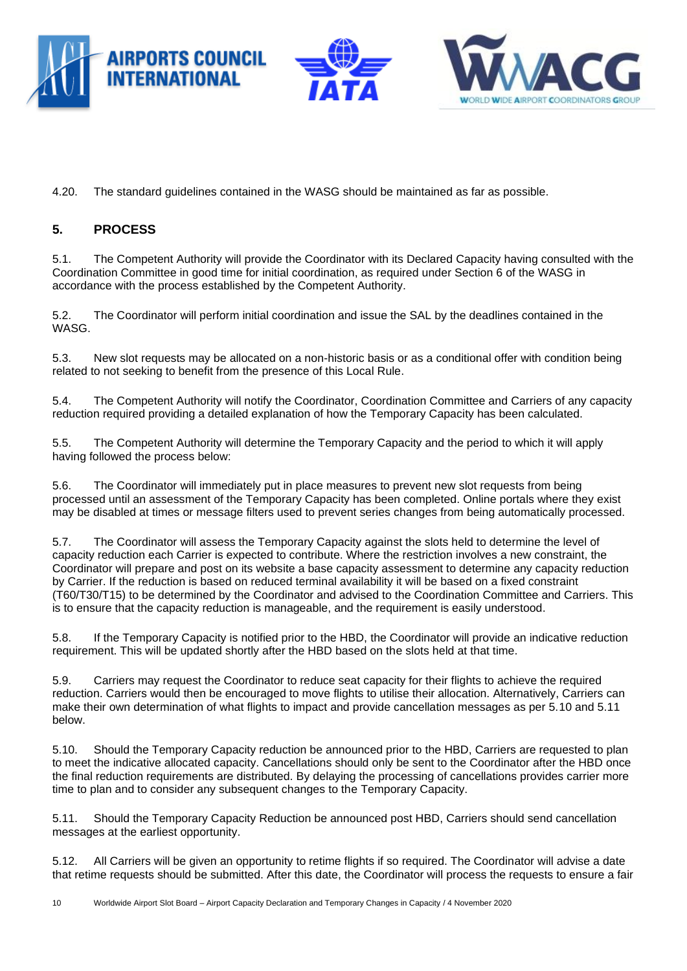





4.20. The standard guidelines contained in the WASG should be maintained as far as possible.

# **5. PROCESS**

5.1. The Competent Authority will provide the Coordinator with its Declared Capacity having consulted with the Coordination Committee in good time for initial coordination, as required under Section 6 of the WASG in accordance with the process established by the Competent Authority.

5.2. The Coordinator will perform initial coordination and issue the SAL by the deadlines contained in the WASG.

5.3. New slot requests may be allocated on a non-historic basis or as a conditional offer with condition being related to not seeking to benefit from the presence of this Local Rule.

5.4. The Competent Authority will notify the Coordinator, Coordination Committee and Carriers of any capacity reduction required providing a detailed explanation of how the Temporary Capacity has been calculated.

5.5. The Competent Authority will determine the Temporary Capacity and the period to which it will apply having followed the process below:

5.6. The Coordinator will immediately put in place measures to prevent new slot requests from being processed until an assessment of the Temporary Capacity has been completed. Online portals where they exist may be disabled at times or message filters used to prevent series changes from being automatically processed.

5.7. The Coordinator will assess the Temporary Capacity against the slots held to determine the level of capacity reduction each Carrier is expected to contribute. Where the restriction involves a new constraint, the Coordinator will prepare and post on its website a base capacity assessment to determine any capacity reduction by Carrier. If the reduction is based on reduced terminal availability it will be based on a fixed constraint (T60/T30/T15) to be determined by the Coordinator and advised to the Coordination Committee and Carriers. This is to ensure that the capacity reduction is manageable, and the requirement is easily understood.

5.8. If the Temporary Capacity is notified prior to the HBD, the Coordinator will provide an indicative reduction requirement. This will be updated shortly after the HBD based on the slots held at that time.

5.9. Carriers may request the Coordinator to reduce seat capacity for their flights to achieve the required reduction. Carriers would then be encouraged to move flights to utilise their allocation. Alternatively, Carriers can make their own determination of what flights to impact and provide cancellation messages as per 5.10 and 5.11 below.

5.10. Should the Temporary Capacity reduction be announced prior to the HBD, Carriers are requested to plan to meet the indicative allocated capacity. Cancellations should only be sent to the Coordinator after the HBD once the final reduction requirements are distributed. By delaying the processing of cancellations provides carrier more time to plan and to consider any subsequent changes to the Temporary Capacity.

5.11. Should the Temporary Capacity Reduction be announced post HBD, Carriers should send cancellation messages at the earliest opportunity.

5.12. All Carriers will be given an opportunity to retime flights if so required. The Coordinator will advise a date that retime requests should be submitted. After this date, the Coordinator will process the requests to ensure a fair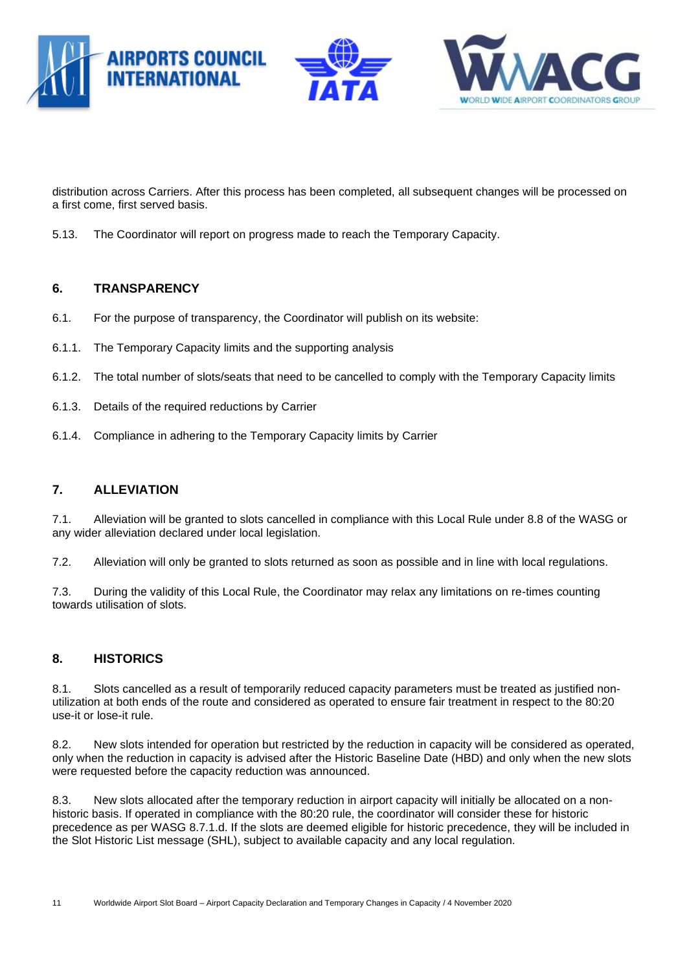



distribution across Carriers. After this process has been completed, all subsequent changes will be processed on a first come, first served basis.

5.13. The Coordinator will report on progress made to reach the Temporary Capacity.

#### **6. TRANSPARENCY**

- 6.1. For the purpose of transparency, the Coordinator will publish on its website:
- 6.1.1. The Temporary Capacity limits and the supporting analysis
- 6.1.2. The total number of slots/seats that need to be cancelled to comply with the Temporary Capacity limits
- 6.1.3. Details of the required reductions by Carrier
- 6.1.4. Compliance in adhering to the Temporary Capacity limits by Carrier

#### **7. ALLEVIATION**

7.1. Alleviation will be granted to slots cancelled in compliance with this Local Rule under 8.8 of the WASG or any wider alleviation declared under local legislation.

7.2. Alleviation will only be granted to slots returned as soon as possible and in line with local regulations.

7.3. During the validity of this Local Rule, the Coordinator may relax any limitations on re-times counting towards utilisation of slots.

#### **8. HISTORICS**

8.1. Slots cancelled as a result of temporarily reduced capacity parameters must be treated as justified nonutilization at both ends of the route and considered as operated to ensure fair treatment in respect to the 80:20 use-it or lose-it rule.

8.2. New slots intended for operation but restricted by the reduction in capacity will be considered as operated, only when the reduction in capacity is advised after the Historic Baseline Date (HBD) and only when the new slots were requested before the capacity reduction was announced.

8.3. New slots allocated after the temporary reduction in airport capacity will initially be allocated on a nonhistoric basis. If operated in compliance with the 80:20 rule, the coordinator will consider these for historic precedence as per WASG 8.7.1.d. If the slots are deemed eligible for historic precedence, they will be included in the Slot Historic List message (SHL), subject to available capacity and any local regulation.